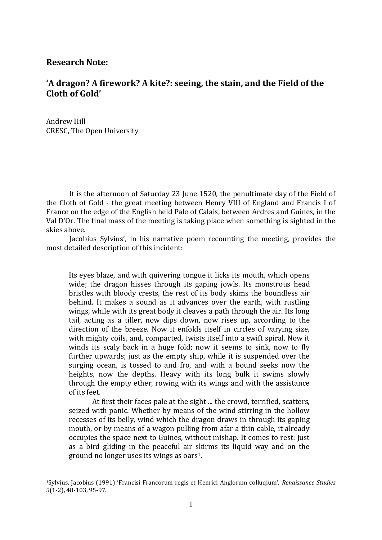## **Research Note:**

1

## **'A dragon? A firework? A kite?: seeing, the stain, and the Field of the Cloth of Gold'**

Andrew Hill CRESC, The Open University

It is the afternoon of Saturday 23 June 1520, the penultimate day of the Field of the Cloth of Gold - the great meeting between Henry VIII of England and Francis I of France on the edge of the English held Pale of Calais, between Ardres and Guines, in the Val D'Or. The final mass of the meeting is taking place when something is sighted in the skies above.

Jacobius Sylvius', in his narrative poem recounting the meeting, provides the most detailed description of this incident:

Its eyes blaze, and with quivering tongue it licks its mouth, which opens wide; the dragon hisses through its gaping jowls. Its monstrous head bristles with bloody crests, the rest of its body skims the boundless air behind. It makes a sound as it advances over the earth, with rustling wings, while with its great body it cleaves a path through the air. Its long tail, acting as a tiller, now dips down, now rises up, according to the direction of the breeze. Now it enfolds itself in circles of varying size, with mighty coils, and, compacted, twists itself into a swift spiral. Now it winds its scaly back in a huge fold; now it seems to sink, now to fly further upwards; just as the empty ship, while it is suspended over the surging ocean, is tossed to and fro, and with a bound seeks now the heights, now the depths. Heavy with its long bulk it swims slowly through the empty ether, rowing with its wings and with the assistance of its feet.

At first their faces pale at the sight ... the crowd, terrified, scatters, seized with panic. Whether by means of the wind stirring in the hollow recesses of its belly, wind which the dragon draws in through its gaping mouth, or by means of a wagon pulling from afar a thin cable, it already occupies the space next to Guines, without mishap. It comes to rest: just as a bird gliding in the peaceful air skirms its liquid way and on the ground no longer uses its wings as oars1.

<sup>1</sup>Sylvius, Jacobius (1991) 'Francisi Francorum regis et Henrici Anglorum colluqium', *Renaissance Studies*  5(1-2), 48-103, 95-97.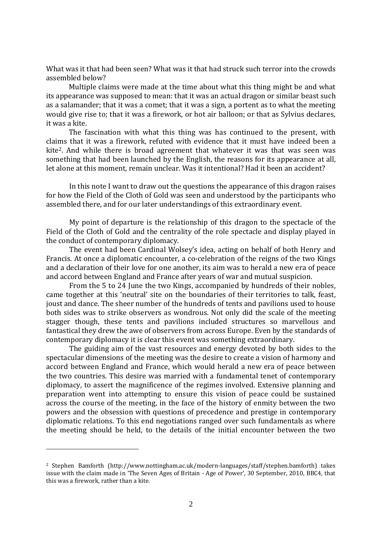What was it that had been seen? What was it that had struck such terror into the crowds assembled below?

Multiple claims were made at the time about what this thing might be and what its appearance was supposed to mean: that it was an actual dragon or similar beast such as a salamander; that it was a comet; that it was a sign, a portent as to what the meeting would give rise to; that it was a firework, or hot air balloon; or that as Sylvius declares, it was a kite.

The fascination with what this thing was has continued to the present, with claims that it was a firework, refuted with evidence that it must have indeed been a kite2. And while there is broad agreement that whatever it was that was seen was something that had been launched by the English, the reasons for its appearance at all, let alone at this moment, remain unclear. Was it intentional? Had it been an accident?

In this note I want to draw out the questions the appearance of this dragon raises for how the Field of the Cloth of Gold was seen and understood by the participants who assembled there, and for our later understandings of this extraordinary event.

My point of departure is the relationship of this dragon to the spectacle of the Field of the Cloth of Gold and the centrality of the role spectacle and display played in the conduct of contemporary diplomacy.

The event had been Cardinal Wolsey's idea, acting on behalf of both Henry and Francis. At once a diplomatic encounter, a co-celebration of the reigns of the two Kings and a declaration of their love for one another, its aim was to herald a new era of peace and accord between England and France after years of war and mutual suspicion.

From the 5 to 24 June the two Kings, accompanied by hundreds of their nobles, came together at this 'neutral' site on the boundaries of their territories to talk, feast, joust and dance. The sheer number of the hundreds of tents and pavilions used to house both sides was to strike observers as wondrous. Not only did the scale of the meeting stagger though, these tents and pavilions included structures so marvellous and fantastical they drew the awe of observers from across Europe. Even by the standards of contemporary diplomacy it is clear this event was something extraordinary.

The guiding aim of the vast resources and energy devoted by both sides to the spectacular dimensions of the meeting was the desire to create a vision of harmony and accord between England and France, which would herald a new era of peace between the two countries. This desire was married with a fundamental tenet of contemporary diplomacy, to assert the magnificence of the regimes involved. Extensive planning and preparation went into attempting to ensure this vision of peace could be sustained across the course of the meeting, in the face of the history of enmity between the two powers and the obsession with questions of precedence and prestige in contemporary diplomatic relations. To this end negotiations ranged over such fundamentals as where the meeting should be held, to the details of the initial encounter between the two

<u>.</u>

<sup>2</sup> Stephen Bamforth (http://www.nottingham.ac.uk/modern-languages/staff/stephen.bamforth) takes issue with the claim made in 'The Seven Ages of Britain - Age of Power', 30 September, 2010, BBC4, that this was a firework, rather than a kite.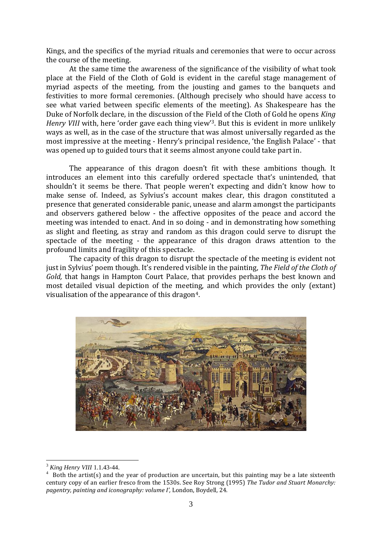Kings, and the specifics of the myriad rituals and ceremonies that were to occur across the course of the meeting.

At the same time the awareness of the significance of the visibility of what took place at the Field of the Cloth of Gold is evident in the careful stage management of myriad aspects of the meeting, from the jousting and games to the banquets and festivities to more formal ceremonies. (Although precisely who should have access to see what varied between specific elements of the meeting). As Shakespeare has the Duke of Norfolk declare, in the discussion of the Field of the Cloth of Gold he opens *King Henry VIII* with, here 'order gave each thing view'<sup>3</sup>. But this is evident in more unlikely ways as well, as in the case of the structure that was almost universally regarded as the most impressive at the meeting - Henry's principal residence, 'the English Palace' - that was opened up to guided tours that it seems almost anyone could take part in.

The appearance of this dragon doesn't fit with these ambitions though. It introduces an element into this carefully ordered spectacle that's unintended, that shouldn't it seems be there. That people weren't expecting and didn't know how to make sense of. Indeed, as Sylvius's account makes clear, this dragon constituted a presence that generated considerable panic, unease and alarm amongst the participants and observers gathered below - the affective opposites of the peace and accord the meeting was intended to enact. And in so doing - and in demonstrating how something as slight and fleeting, as stray and random as this dragon could serve to disrupt the spectacle of the meeting - the appearance of this dragon draws attention to the profound limits and fragility of this spectacle.

The capacity of this dragon to disrupt the spectacle of the meeting is evident not just in Sylvius' poem though. It's rendered visible in the painting, *The Field of the Cloth of Gold,* that hangs in Hampton Court Palace, that provides perhaps the best known and most detailed visual depiction of the meeting, and which provides the only (extant) visualisation of the appearance of this dragon4.



<sup>3</sup> *King Henry VIII* 1.1.43-44.

 $4$  Both the artist(s) and the year of production are uncertain, but this painting may be a late sixteenth century copy of an earlier fresco from the 1530s. See Roy Strong (1995) *The Tudor and Stuart Monarchy: pagentry, painting and iconography: volume I',* London, Boydell, 24.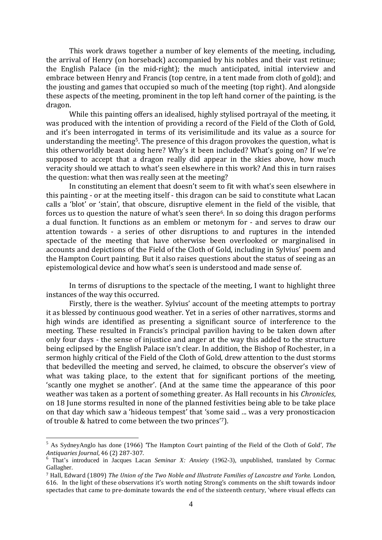This work draws together a number of key elements of the meeting, including, the arrival of Henry (on horseback) accompanied by his nobles and their vast retinue; the English Palace (in the mid-right); the much anticipated, initial interview and embrace between Henry and Francis (top centre, in a tent made from cloth of gold); and the jousting and games that occupied so much of the meeting (top right). And alongside these aspects of the meeting, prominent in the top left hand corner of the painting, is the dragon.

While this painting offers an idealised, highly stylised portrayal of the meeting, it was produced with the intention of providing a record of the Field of the Cloth of Gold, and it's been interrogated in terms of its verisimilitude and its value as a source for understanding the meeting5. The presence of this dragon provokes the question, what is this otherworldly beast doing here? Why's it been included? What's going on? If we're supposed to accept that a dragon really did appear in the skies above, how much veracity should we attach to what's seen elsewhere in this work? And this in turn raises the question: what then was really seen at the meeting?

In constituting an element that doesn't seem to fit with what's seen elsewhere in this painting - or at the meeting itself - this dragon can be said to constitute what Lacan calls a 'blot' or 'stain', that obscure, disruptive element in the field of the visible, that forces us to question the nature of what's seen there6. In so doing this dragon performs a dual function. It functions as an emblem or metonym for - and serves to draw our attention towards - a series of other disruptions to and ruptures in the intended spectacle of the meeting that have otherwise been overlooked or marginalised in accounts and depictions of the Field of the Cloth of Gold, including in Sylvius' poem and the Hampton Court painting. But it also raises questions about the status of seeing as an epistemological device and how what's seen is understood and made sense of.

 In terms of disruptions to the spectacle of the meeting, I want to highlight three instances of the way this occurred.

Firstly, there is the weather. Sylvius' account of the meeting attempts to portray it as blessed by continuous good weather. Yet in a series of other narratives, storms and high winds are identified as presenting a significant source of interference to the meeting. These resulted in Francis's principal pavilion having to be taken down after only four days - the sense of injustice and anger at the way this added to the structure being eclipsed by the English Palace isn't clear. In addition, the Bishop of Rochester, in a sermon highly critical of the Field of the Cloth of Gold, drew attention to the dust storms that bedevilled the meeting and served, he claimed, to obscure the observer's view of what was taking place, to the extent that for significant portions of the meeting, 'scantly one myghet se another'. (And at the same time the appearance of this poor weather was taken as a portent of something greater. As Hall recounts in his *Chronicles*, on 18 June storms resulted in none of the planned festivities being able to be take place on that day which saw a 'hideous tempest' that 'some said ... was a very pronosticacion of trouble & hatred to come between the two princes'7).

<sup>5</sup> As SydneyAnglo has done (1966) 'The Hampton Court painting of the Field of the Cloth of Gold', *The Antiquaries Journal*, 46 (2) 287-307.

<sup>6</sup> That's introduced in Jacques Lacan *Seminar X: Anxiety* (1962-3), unpublished, translated by Cormac Gallagher.

<sup>7</sup> Hall, Edward (1809) *The Union of the Two Noble and Illustrate Families of Lancastre and Yorke.* London, 616. In the light of these observations it's worth noting Strong's comments on the shift towards indoor spectacles that came to pre-dominate towards the end of the sixteenth century, 'where visual effects can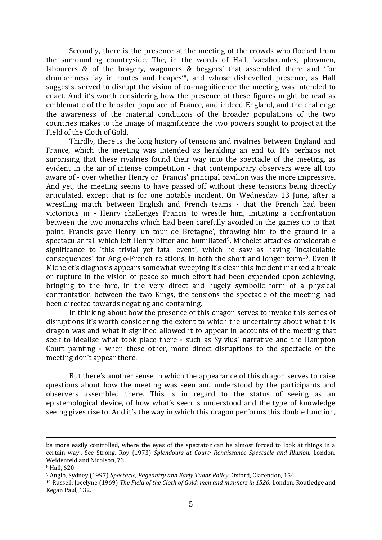Secondly, there is the presence at the meeting of the crowds who flocked from the surrounding countryside. The, in the words of Hall, 'vacaboundes, plowmen, labourers & of the bragery, wagoners & beggers' that assembled there and 'for drunkenness lay in routes and heapes'8, and whose dishevelled presence, as Hall suggests, served to disrupt the vision of co-magnificence the meeting was intended to enact. And it's worth considering how the presence of these figures might be read as emblematic of the broader populace of France, and indeed England, and the challenge the awareness of the material conditions of the broader populations of the two countries makes to the image of magnificence the two powers sought to project at the Field of the Cloth of Gold.

Thirdly, there is the long history of tensions and rivalries between England and France, which the meeting was intended as heralding an end to. It's perhaps not surprising that these rivalries found their way into the spectacle of the meeting, as evident in the air of intense competition - that contemporary observers were all too aware of - over whether Henry or Francis' principal pavilion was the more impressive. And yet, the meeting seems to have passed off without these tensions being directly articulated, except that is for one notable incident. On Wednesday 13 June, after a wrestling match between English and French teams - that the French had been victorious in - Henry challenges Francis to wrestle him, initiating a confrontation between the two monarchs which had been carefully avoided in the games up to that point. Francis gave Henry 'un tour de Bretagne', throwing him to the ground in a spectacular fall which left Henry bitter and humiliated9. Michelet attaches considerable significance to 'this trivial yet fatal event', which he saw as having 'incalculable consequences' for Anglo-French relations, in both the short and longer term10. Even if Michelet's diagnosis appears somewhat sweeping it's clear this incident marked a break or rupture in the vision of peace so much effort had been expended upon achieving, bringing to the fore, in the very direct and hugely symbolic form of a physical confrontation between the two Kings, the tensions the spectacle of the meeting had been directed towards negating and containing.

In thinking about how the presence of this dragon serves to invoke this series of disruptions it's worth considering the extent to which the uncertainty about what this dragon was and what it signified allowed it to appear in accounts of the meeting that seek to idealise what took place there - such as Sylvius' narrative and the Hampton Court painting - when these other, more direct disruptions to the spectacle of the meeting don't appear there.

But there's another sense in which the appearance of this dragon serves to raise questions about how the meeting was seen and understood by the participants and observers assembled there. This is in regard to the status of seeing as an epistemological device, of how what's seen is understood and the type of knowledge seeing gives rise to. And it's the way in which this dragon performs this double function,

be more easily controlled, where the eyes of the spectator can be almost forced to look at things in a certain way'. See Strong, Roy (1973) *Splendours at Court: Renaissance Spectacle and Illusion.* London, Weidenfeld and Nicolson, 73.

<sup>8</sup> Hall, 620.

<sup>9</sup> Anglo, Sydney (1997) *Spectacle, Pageantry and Early Tudor Policy.* Oxford, Clarendon*,* 154.

<sup>10</sup> Russell, Jocelyne (1969) *The Field of the Cloth of Gold: men and manners in 1520.* London, Routledge and Kegan Paul, 132.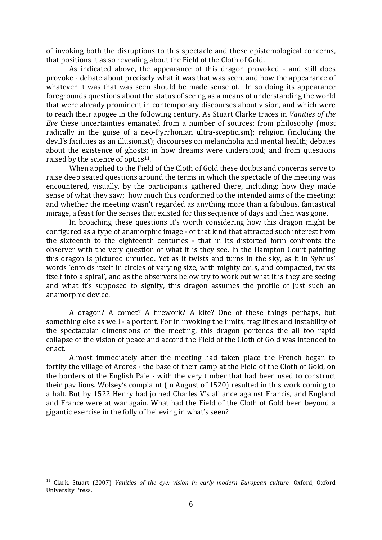of invoking both the disruptions to this spectacle and these epistemological concerns, that positions it as so revealing about the Field of the Cloth of Gold.

As indicated above, the appearance of this dragon provoked - and still does provoke - debate about precisely what it was that was seen, and how the appearance of whatever it was that was seen should be made sense of. In so doing its appearance foregrounds questions about the status of seeing as a means of understanding the world that were already prominent in contemporary discourses about vision, and which were to reach their apogee in the following century. As Stuart Clarke traces in *Vanities of the Eye* these uncertainties emanated from a number of sources: from philosophy (most radically in the guise of a neo-Pyrrhonian ultra-scepticism); religion (including the devil's facilities as an illusionist); discourses on melancholia and mental health; debates about the existence of ghosts; in how dreams were understood; and from questions raised by the science of optics<sup>11</sup>.

When applied to the Field of the Cloth of Gold these doubts and concerns serve to raise deep seated questions around the terms in which the spectacle of the meeting was encountered, visually, by the participants gathered there, including: how they made sense of what they saw; how much this conformed to the intended aims of the meeting; and whether the meeting wasn't regarded as anything more than a fabulous, fantastical mirage, a feast for the senses that existed for this sequence of days and then was gone.

In broaching these questions it's worth considering how this dragon might be configured as a type of anamorphic image - of that kind that attracted such interest from the sixteenth to the eighteenth centuries - that in its distorted form confronts the observer with the very question of what it is they see. In the Hampton Court painting this dragon is pictured unfurled. Yet as it twists and turns in the sky, as it in Sylvius' words 'enfolds itself in circles of varying size, with mighty coils, and compacted, twists itself into a spiral', and as the observers below try to work out what it is they are seeing and what it's supposed to signify, this dragon assumes the profile of just such an anamorphic device.

A dragon? A comet? A firework? A kite? One of these things perhaps, but something else as well - a portent. For in invoking the limits, fragilities and instability of the spectacular dimensions of the meeting, this dragon portends the all too rapid collapse of the vision of peace and accord the Field of the Cloth of Gold was intended to enact.

Almost immediately after the meeting had taken place the French began to fortify the village of Ardres - the base of their camp at the Field of the Cloth of Gold, on the borders of the English Pale - with the very timber that had been used to construct their pavilions. Wolsey's complaint (in August of 1520) resulted in this work coming to a halt. But by 1522 Henry had joined Charles V's alliance against Francis, and England and France were at war again. What had the Field of the Cloth of Gold been beyond a gigantic exercise in the folly of believing in what's seen?

<sup>&</sup>lt;sup>11</sup> Clark, Stuart (2007) *Vanities of the eye: vision in early modern European culture.* Oxford, Oxford University Press.